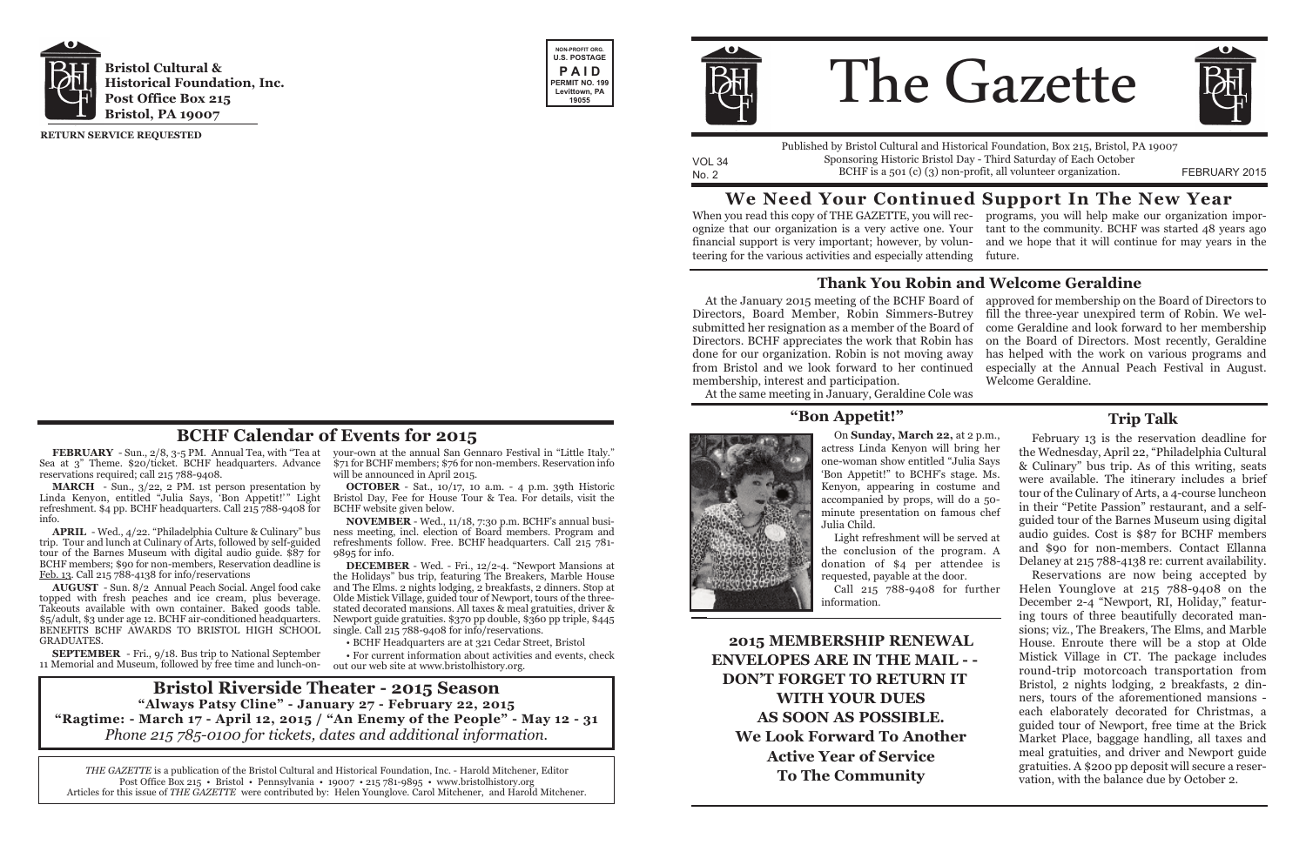**FEBRUARY** - Sun., 2/8, 3-5 PM. Annual Tea, with "Tea at Sea at 3" Theme. \$20/ticket. BCHF headquarters. Advance reservations required; call 215 788-9408.

**MARCH** - Sun., 3/22, 2 PM. 1st person presentation by Linda Kenyon, entitled "Julia Says, 'Bon Appetit!' " Light refreshment. \$4 pp. BCHF headquarters. Call 215 788-9408 for info.

**APRIL** - Wed., 4/22. "Philadelphia Culture & Culinary" bus trip. Tour and lunch at Culinary of Arts, followed by self-guided tour of the Barnes Museum with digital audio guide. \$87 for BCHF members; \$90 for non-members, Reservation deadline is Feb. 13. Call 215 788-4138 for info/reservations

**AUGUST** - Sun. 8/2 Annual Peach Social. Angel food cake topped with fresh peaches and ice cream, plus beverage. Takeouts available with own container. Baked goods table. \$5/adult, \$3 under age 12. BCHF air-conditioned headquarters. BENEFITS BCHF AWARDS TO BRISTOL HIGH SCHOOL GRADUATES.

your-own at the annual San Gennaro Festival in "Little Italy." \$71 for BCHF members; \$76 for non-members. Reservation info will be announced in April 2015.

**OCTOBER** - Sat., 10/17, 10 a.m. - 4 p.m. 39th Historic Bristol Day, Fee for House Tour & Tea. For details, visit the BCHF website given below.

**NOVEMBER** - Wed., 11/18, 7:30 p.m. BCHF's annual business meeting, incl. election of Board members. Program and refreshments follow. Free. BCHF headquarters. Call 215 781- 9895 for info.

**SEPTEMBER** - Fri., 9/18. Bus trip to National September 11 Memorial and Museum, followed by free time and lunch-on-out our web site at www.bristolhistory.org.

**DECEMBER** - Wed. - Fri., 12/2-4. "Newport Mansions at the Holidays" bus trip, featuring The Breakers, Marble House and The Elms. 2 nights lodging, 2 breakfasts, 2 dinners. Stop at Olde Mistick Village, guided tour of Newport, tours of the threestated decorated mansions. All taxes & meal gratuities, driver & Newport guide gratuities. \$370 pp double, \$360 pp triple, \$445 single. Call 215 788-9408 for info/reservations.

• BCHF Headquarters are at 321 Cedar Street, Bristol

• For current information about activities and events, check



# The Gazette



VOL 34 No. 2 FEBRUARY 2015 BCHF is a 501 (c) (3) non-profit, all volunteer organization. Published by Bristol Cultural and Historical Foundation, Box 215, Bristol, PA 19007 Sponsoring Historic Bristol Day - Third Saturday of Each October

**RETURN SERVICE REQUESTED**

*THE GAZETTE* is a publication of the Bristol Cultural and Historical Foundation, Inc. - Harold Mitchener, Editor Post Office Box 215 • Bristol • Pennsylvania • 19007 • 215 781-9895 • www.bristolhistory.org Articles for this issue of *THE GAZETTE* were contributed by: Helen Younglove. Carol Mitchener, and Harold Mitchener.







**BCHF Calendar of Events for 2015**

# **We Need Your Continued Support In The New Year**

When you read this copy of THE GAZETTE, you will rec-programs, you will help make our organization imporognize that our organization is a very active one. Your tant to the community. BCHF was started 48 years ago financial support is very important; however, by volun-and we hope that it will continue for may years in the teering for the various activities and especially attending future.

At the January 2015 meeting of the BCHF Board of approved for membership on the Board of Directors to Directors, Board Member, Robin Simmers-Butrey submitted her resignation as a member of the Board of  $\;$  come Geraldine and look forward to her membership Directors. BCHF appreciates the work that Robin has done for our organization. Robin is not moving away from Bristol and we look forward to her continued membership, interest and participation. fill the three-year unexpired term of Robin. We welon the Board of Directors. Most recently, Geraldine has helped with the work on various programs and especially at the Annual Peach Festival in August. Welcome Geraldine.

At the same meeting in January, Geraldine Cole was

## **Thank You Robin and Welcome Geraldine**

**2015 MEMBERSHIP RENEWAL ENVELOPES ARE IN THE MAIL - - DON'T FORGET TO RETURN IT WITH YOUR DUES AS SOON AS POSSIBLE. We Look Forward To Another Active Year of Service To The Community**

On **Sunday, March 22,** at 2 p.m., actress Linda Kenyon will bring her one-woman show entitled "Julia Says 'Bon Appetit!" to BCHF's stage. Ms. Kenyon, appearing in costume and accompanied by props, will do a 50 minute presentation on famous chef Julia Child.

Light refreshment will be served at the conclusion of the program. A donation of \$4 per attendee is requested, payable at the door. Call 215 788-9408 for further information.

February 13 is the reservation deadline for the Wednesday, April 22, "Philadelphia Cultural & Culinary" bus trip. As of this writing, seats were available. The itinerary includes a brief tour of the Culinary of Arts, a 4-course luncheon in their "Petite Passion" restaurant, and a selfguided tour of the Barnes Museum using digital audio guides. Cost is \$87 for BCHF members and \$90 for non-members. Contact Ellanna Delaney at 215 788-4138 re: current availability.

Reservations are now being accepted by Helen Younglove at 215 788-9408 on the December 2-4 "Newport, RI, Holiday," featuring tours of three beautifully decorated mansions; viz., The Breakers, The Elms, and Marble House. Enroute there will be a stop at Olde Mistick Village in CT. The package includes round-trip motorcoach transportation from Bristol, 2 nights lodging, 2 breakfasts, 2 dinners, tours of the aforementioned mansions each elaborately decorated for Christmas, a guided tour of Newport, free time at the Brick Market Place, baggage handling, all taxes and meal gratuities, and driver and Newport guide gratuities. A \$200 pp deposit will secure a reservation, with the balance due by October 2.

### **"Bon Appetit!" Trip Talk**



**Bristol Riverside Theater - 2015 Season "Always Patsy Cline" - January 27 - February 22, 2015 "Ragtime: - March 17 - April 12, 2015 / "An Enemy of the People" - May 12 - 31** *Phone 215 785-0100 for tickets, dates and additional information.*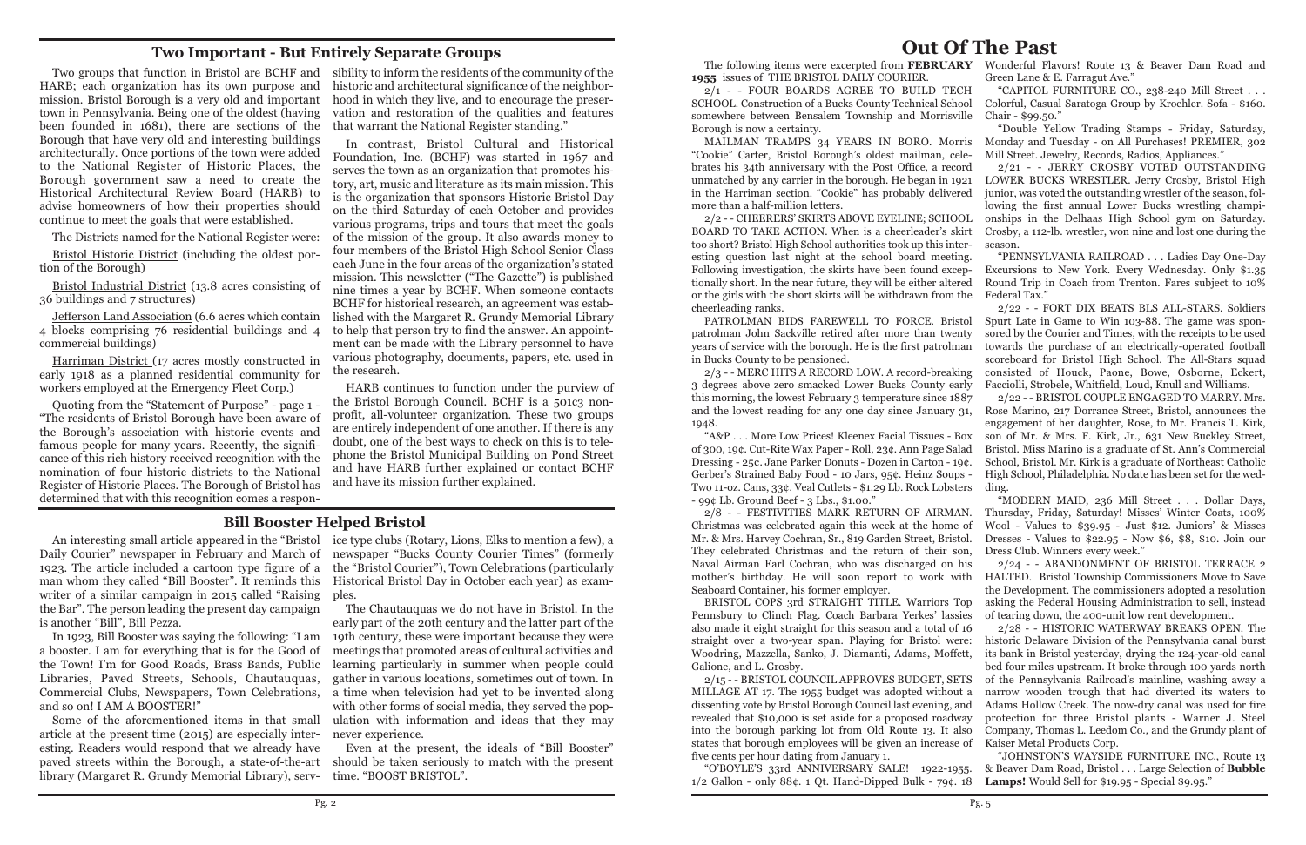# **Out Of The Past**

The following items were excerpted from **FEBRUARY** Wonderful Flavors! Route 13 & Beaver Dam Road and **1955** issues of THE BRISTOL DAILY COURIER. Green Lane & E. Farragut Ave."

2/1 - - FOUR BOARDS AGREE TO BUILD TECH SCHOOL. Construction of a Bucks County Technical School somewhere between Bensalem Township and Morrisville Borough is now a certainty. "CAPITOL FURNITURE CO., 238-240 Mill Street . . . Colorful, Casual Saratoga Group by Kroehler. Sofa - \$160. Chair - \$99.50." "Double Yellow Trading Stamps - Friday, Saturday,

MAILMAN TRAMPS 34 YEARS IN BORO. Morris "Cookie" Carter, Bristol Borough's oldest mailman, celebrates his 34th anniversary with the Post Office, a record unmatched by any carrier in the borough. He began in 1921 in the Harriman section. "Cookie" has probably delivered more than a half-million letters. 2/2 - - CHEERERS' SKIRTS ABOVE EYELINE; SCHOOL BOARD TO TAKE ACTION. When is a cheerleader's skirt too short? Bristol High School authorities took up this inter-Monday and Tuesday - on All Purchases! PREMIER, 302 Mill Street. Jewelry, Records, Radios, Appliances." 2/21 - - JERRY CROSBY VOTED OUTSTANDING LOWER BUCKS WRESTLER. Jerry Crosby, Bristol High junior, was voted the outstanding wrestler of the season, following the first annual Lower Bucks wrestling championships in the Delhaas High School gym on Saturday. Crosby, a 112-lb. wrestler, won nine and lost one during the season.

esting question last night at the school board meeting. Following investigation, the skirts have been found exceptionally short. In the near future, they will be either altered or the girls with the short skirts will be withdrawn from the "PENNSYLVANIA RAILROAD . . . Ladies Day One-Day Excursions to New York. Every Wednesday. Only \$1.35 Round Trip in Coach from Trenton. Fares subject to 10% Federal Tax." 2/22 - - FORT DIX BEATS BLS ALL-STARS. Soldiers

cheerleading ranks. PATROLMAN BIDS FAREWELL TO FORCE. Bristol patrolman John Sackville retired after more than twenty years of service with the borough. He is the first patrolman in Bucks County to be pensioned. 2/3 - - MERC HITS A RECORD LOW. A record-breaking Spurt Late in Game to Win 103-88. The game was sponsored by the Courier and Times, with the receipts to be used towards the purchase of an electrically-operated football scoreboard for Bristol High School. The All-Stars squad consisted of Houck, Paone, Bowe, Osborne, Eckert, Facciolli, Strobele, Whitfield, Loud, Knull and Williams.

3 degrees above zero smacked Lower Bucks County early this morning, the lowest February 3 temperature since 1887 and the lowest reading for any one day since January 31, 1948. "A&P . . . More Low Prices! Kleenex Facial Tissues - Box of 300, 19¢. Cut-Rite Wax Paper - Roll, 23¢. Ann Page Salad Dressing - 25¢. Jane Parker Donuts - Dozen in Carton - 19¢. Gerber's Strained Baby Food - 10 Jars, 95¢. Heinz Soups - Two 11-oz. Cans, 33¢. Veal Cutlets - \$1.29 Lb. Rock Lobsters 2/22 - - BRISTOL COUPLE ENGAGED TO MARRY. Mrs. Rose Marino, 217 Dorrance Street, Bristol, announces the engagement of her daughter, Rose, to Mr. Francis T. Kirk, son of Mr. & Mrs. F. Kirk, Jr., 631 New Buckley Street, Bristol. Miss Marino is a graduate of St. Ann's Commercial School, Bristol. Mr. Kirk is a graduate of Northeast Catholic High School, Philadelphia. No date has been set for the wedding.

- 99¢ Lb. Ground Beef - 3 Lbs., \$1.00." 2/8 - - FESTIVITIES MARK RETURN OF AIRMAN. Christmas was celebrated again this week at the home of Mr. & Mrs. Harvey Cochran, Sr., 819 Garden Street, Bristol. They celebrated Christmas and the return of their son, Naval Airman Earl Cochran, who was discharged on his mother's birthday. He will soon report to work with Seaboard Container, his former employer. BRISTOL COPS 3rd STRAIGHT TITLE. Warriors Top Thursday, Friday, Saturday! Misses' Winter Coats, 100% Wool - Values to \$39.95 - Just \$12. Juniors' & Misses Dresses - Values to \$22.95 - Now \$6, \$8, \$10. Join our Dress Club. Winners every week." 2/24 - - ABANDONMENT OF BRISTOL TERRACE 2 HALTED. Bristol Township Commissioners Move to Save the Development. The commissioners adopted a resolution asking the Federal Housing Administration to sell, instead of tearing down, the 400-unit low rent development.

In 1923, Bill Booster was saying the following: "I am 19th century, these were important because they were The Chautauquas we do not have in Bristol. In the early part of the 20th century and the latter part of the meetings that promoted areas of cultural activities and learning particularly in summer when people could gather in various locations, sometimes out of town. In with other forms of social media, they served the population with information and ideas that they may never experience.

Pennsbury to Clinch Flag. Coach Barbara Yerkes' lassies also made it eight straight for this season and a total of 16 straight over a two-year span. Playing for Bristol were: Woodring, Mazzella, Sanko, J. Diamanti, Adams, Moffett, Galione, and L. Grosby. 2/15 - - BRISTOL COUNCIL APPROVES BUDGET, SETS MILLAGE AT 17. The 1955 budget was adopted without a dissenting vote by Bristol Borough Council last evening, and revealed that \$10,000 is set aside for a proposed roadway into the borough parking lot from Old Route 13. It also states that borough employees will be given an increase of 2/28 - - HISTORIC WATERWAY BREAKS OPEN. The historic Delaware Division of the Pennsylvania canal burst its bank in Bristol yesterday, drying the 124-year-old canal bed four miles upstream. It broke through 100 yards north of the Pennsylvania Railroad's mainline, washing away a narrow wooden trough that had diverted its waters to Adams Hollow Creek. The now-dry canal was used for fire protection for three Bristol plants - Warner J. Steel Company, Thomas L. Leedom Co., and the Grundy plant of Kaiser Metal Products Corp.

five cents per hour dating from January 1. "JOHNSTON'S WAYSIDE FURNITURE INC., Route 13

"O'BOYLE'S 33rd ANNIVERSARY SALE! 1922-1955. 1/2 Gallon - only 88¢. 1 Qt. Hand-Dipped Bulk - 79¢. 18 & Beaver Dam Road, Bristol . . . Large Selection of **Bubble Lamps!** Would Sell for \$19.95 - Special \$9.95."

"MODERN MAID, 236 Mill Street . . . Dollar Days,

Daily Courier" newspaper in February and March of 1923. The article included a cartoon type figure of a writer of a similar campaign in 2015 called "Raising ples. the Bar". The person leading the present day campaign is another "Bill", Bill Pezza.

a booster. I am for everything that is for the Good of the Town! I'm for Good Roads, Brass Bands, Public Libraries, Paved Streets, Schools, Chautauquas, Commercial Clubs, Newspapers, Town Celebrations, a time when television had yet to be invented along and so on! I AM A BOOSTER!"

An interesting small article appeared in the "Bristol ice type clubs (Rotary, Lions, Elks to mention a few), a man whom they called "Bill Booster". It reminds this Historical Bristol Day in October each year) as examnewspaper "Bucks County Courier Times" (formerly the "Bristol Courier"), Town Celebrations (particularly

Some of the aforementioned items in that small article at the present time (2015) are especially interesting. Readers would respond that we already have paved streets within the Borough, a state-of-the-art library (Margaret R. Grundy Memorial Library), serv-

Even at the present, the ideals of "Bill Booster" should be taken seriously to match with the present time. "BOOST BRISTOL".

#### **Bill Booster Helped Bristol**

HARB; each organization has its own purpose and mission. Bristol Borough is a very old and important town in Pennsylvania. Being one of the oldest (having been founded in 1681), there are sections of the Borough that have very old and interesting buildings architecturally. Once portions of the town were added to the National Register of Historic Places, the Borough government saw a need to create the Historical Architectural Review Board (HARB) to advise homeowners of how their properties should continue to meet the goals that were established.

The Districts named for the National Register were:

Bristol Historic District (including the oldest portion of the Borough)

Bristol Industrial District (13.8 acres consisting of 36 buildings and 7 structures)

Jefferson Land Association (6.6 acres which contain 4 blocks comprising 76 residential buildings and 4 commercial buildings)

Two groups that function in Bristol are BCHF and sibility to inform the residents of the community of the historic and architectural significance of the neighborhood in which they live, and to encourage the preservation and restoration of the qualities and features that warrant the National Register standing."

Harriman District (17 acres mostly constructed in early 1918 as a planned residential community for workers employed at the Emergency Fleet Corp.)

Quoting from the "Statement of Purpose" - page 1 - "The residents of Bristol Borough have been aware of the Borough's association with historic events and famous people for many years. Recently, the significance of this rich history received recognition with the nomination of four historic districts to the National Register of Historic Places. The Borough of Bristol has determined that with this recognition comes a respon-

In contrast, Bristol Cultural and Historical Foundation, Inc. (BCHF) was started in 1967 and serves the town as an organization that promotes history, art, music and literature as its main mission. This is the organization that sponsors Historic Bristol Day on the third Saturday of each October and provides various programs, trips and tours that meet the goals of the mission of the group. It also awards money to four members of the Bristol High School Senior Class each June in the four areas of the organization's stated mission. This newsletter ("The Gazette") is published nine times a year by BCHF. When someone contacts BCHF for historical research, an agreement was established with the Margaret R. Grundy Memorial Library to help that person try to find the answer. An appointment can be made with the Library personnel to have various photography, documents, papers, etc. used in the research.

HARB continues to function under the purview of the Bristol Borough Council. BCHF is a 501c3 nonprofit, all-volunteer organization. These two groups are entirely independent of one another. If there is any doubt, one of the best ways to check on this is to telephone the Bristol Municipal Building on Pond Street and have HARB further explained or contact BCHF and have its mission further explained.

## **Two Important - But Entirely Separate Groups**